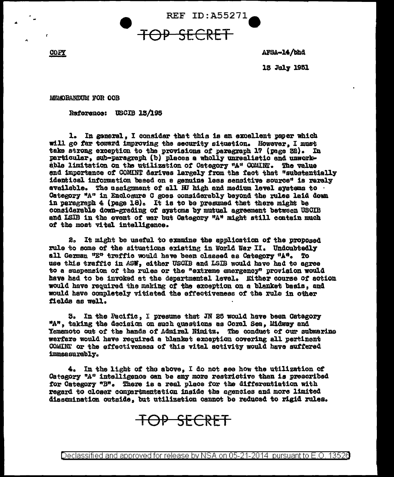**REF ID: A55271** 

COPY

AFSA-14/bhd

13 July 1951

MEMORANDUM FOR OOB

Reference: USCIB 13/195

1. In general, I consider that this is an excellent paper which will go far toward improving the security situation. However, I must take strong exception to the provisions of paragraph 17 (page 32). In particular, sub-paragraph (b) places a wholly unrealistic and unworkable limitation on the utilization of Category "A" COMINT. The value and importance of COMINT derives largely from the fact that "substantially identical information based on a genuine less sensitive source" is rarely available. The assignment of all HJ high and medium level systems to Category "A" in Enclosure C goes considerably beyond the rules laid down in paragraph 4 (page 18). It is to be presumed that there might be considerable down-grading of systems by mutual agreement between USCIB and ISIB in the event of war but Category "A" might still contain much of the most vitel intelligence.

2. It might be useful to examine the application of the proposed rule to some of the situations existing in World War II. Undoubtedly all German "E" traffic would have been classed as Category "A". To use this traffic in ASW, either USCIB and LSIB would have had to agree to a suspension of the rules or the "extreme emergency" provision would have had to be invoked at the departmental level. Either course of action would have required the making of the exception on a blanket basis, and would have completely vitiated the effectiveness of the rule in other fields as well.

3. In the Pacific, I presume that JN 25 would have been Category "A", taking the decision on such questions as Coral Sea. Midway and Yamamoto out of the hands of Admiral Nimitz. The conduct of our submarine werfare would have required a blanket exception covering all pertinent COMINT or the effectiveness of this vital activity would have suffered immeasurably.

4. In the light of the above. I do not see how the utilization of Category "A" intelligence can be any more restrictive than is prescribed for Category "B". There is a real place for the differentiation with regard to closer compartmentation inside the agencies and more limited dissemination outside, but utilization cannot be reduced to rigid rules.

TOP SECRET